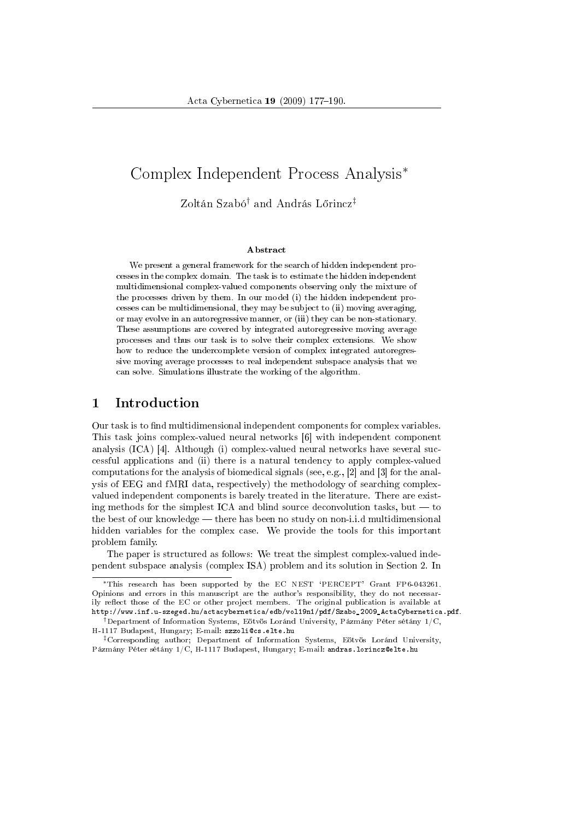# Complex Independent Process Analysis*<sup>∗</sup>*

Zoltán Szabó*†* and András L®rincz*‡*

#### Abstract

We present a general framework for the search of hidden independent processes in the complex domain. The task is to estimate the hidden independent multidimensional complex-valued components observing only the mixture of the processes driven by them. In our model (i) the hidden independent processes can be multidimensional, they may be subject to (ii) moving averaging, or may evolve in an autoregressive manner, or (iii) they can be non-stationary. These assumptions are covered by integrated autoregressive moving average processes and thus our task is to solve their complex extensions. We show how to reduce the undercomplete version of complex integrated autoregressive moving average processes to real independent subspace analysis that we can solve. Simulations illustrate the working of the algorithm.

## 1 Introduction

Our task is to find multidimensional independent components for complex variables. This task joins complex-valued neural networks [6] with independent component analysis (ICA) [4]. Although (i) complex-valued neural networks have several successful applications and (ii) there is a natural tendency to apply complex-valued computations for the analysis of biomedical signals (see, e.g., [2] and [3] for the analysis of EEG and fMRI data, respectively) the methodology of searching complexvalued independent components is barely treated in the literature. There are existing methods for the simplest ICA and blind source deconvolution tasks, but  $-$  to the best of our knowledge — there has been no study on non-i.i.d multidimensional hidden variables for the complex case. We provide the tools for this important problem family.

The paper is structured as follows: We treat the simplest complex-valued independent subspace analysis (complex ISA) problem and its solution in Section 2. In

*<sup>∗</sup>*This research has been supported by the EC NEST `PERCEPT' Grant FP6-043261. Opinions and errors in this manuscript are the author's responsibility, they do not necessarily reflect those of the EC or other project members. The original publication is available at http://www.inf.u-szeged.hu/actacybernetica/edb/vol19n1/pdf/Szabo\_2009\_ActaCybernetica.pdf.

*<sup>†</sup>*Department of Information Systems, Eötvös Loránd University, Pázmány Péter sétány 1/C, H-1117 Budapest, Hungary; E-mail: szzoli@cs.elte.hu

*<sup>‡</sup>*Corresponding author; Department of Information Systems, Eötvös Loránd University, Pázmány Péter sétány 1/C, H-1117 Budapest, Hungary; E-mail: andras.lorincz@elte.hu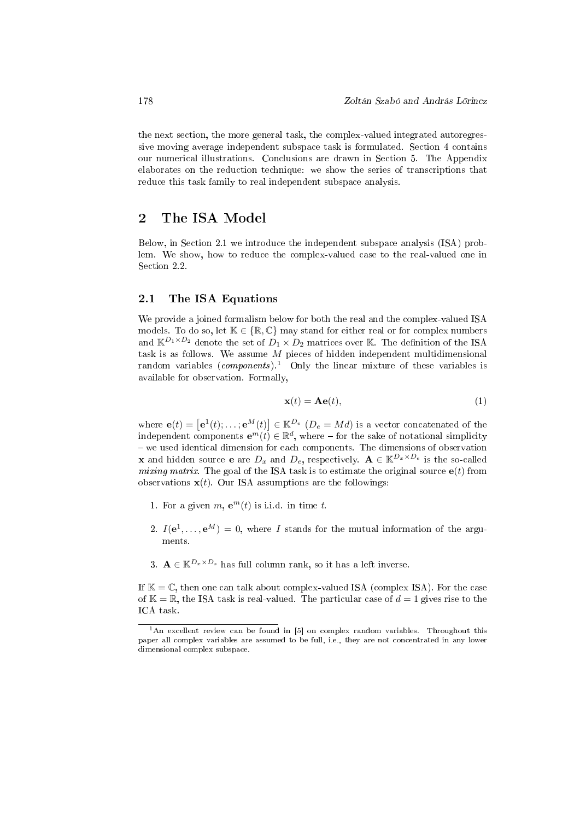the next section, the more general task, the complex-valued integrated autoregressive moving average independent subspace task is formulated. Section 4 contains our numerical illustrations. Conclusions are drawn in Section 5. The Appendix elaborates on the reduction technique: we show the series of transcriptions that reduce this task family to real independent subspace analysis.

## 2 The ISA Model

Below, in Section 2.1 we introduce the independent subspace analysis (ISA) problem. We show, how to reduce the complex-valued case to the real-valued one in Section 2.2.

#### 2.1 The ISA Equations

We provide a joined formalism below for both the real and the complex-valued ISA models. To do so, let  $K \in \{R, C\}$  may stand for either real or for complex numbers and  $\mathbb{K}^{D_1 \times D_2}$  denote the set of  $D_1 \times D_2$  matrices over K. The definition of the ISA task is as follows. We assume *M* pieces of hidden independent multidimensional random variables  $(\textit{components})$ .<sup>1</sup> Only the linear mixture of these variables is available for observation. Formally,

$$
\mathbf{x}(t) = \mathbf{A}\mathbf{e}(t),\tag{1}
$$

where  $\mathbf{e}(t) = [\mathbf{e}^{1}(t); \ldots; \mathbf{e}^{M}(t)] \in \mathbb{K}^{D_e}$  ( $D_e = Md$ ) is a vector concatenated of the independent components  $e^m(t) \in \mathbb{R}^d$ , where – for the sake of notational simplicity  $-$  we used identical dimension for each components. The dimensions of observation **x** and hidden source **e** are  $D_x$  and  $D_e$ , respectively.  $\mathbf{A} \in \mathbb{K}^{D_x \times D_e}$  is the so-called mixing matrix. The goal of the ISA task is to estimate the original source  $e(t)$  from observations  $\mathbf{x}(t)$ . Our ISA assumptions are the followings:

- 1. For a given  $m$ ,  $e^m(t)$  is i.i.d. in time  $t$ .
- 2.  $I(e^1, \ldots, e^M) = 0$ , where *I* stands for the mutual information of the arguments.
- 3.  $\mathbf{A} \in \mathbb{K}^{D_x \times D_s}$  has full column rank, so it has a left inverse.

If  $\mathbb{K} = \mathbb{C}$ , then one can talk about complex-valued ISA (complex ISA). For the case of  $\mathbb{K} = \mathbb{R}$ , the ISA task is real-valued. The particular case of  $d = 1$  gives rise to the ICA task.

<sup>&</sup>lt;sup>1</sup>An excellent review can be found in [5] on complex random variables. Throughout this paper all complex variables are assumed to be full, i.e., they are not concentrated in any lower dimensional complex subspace.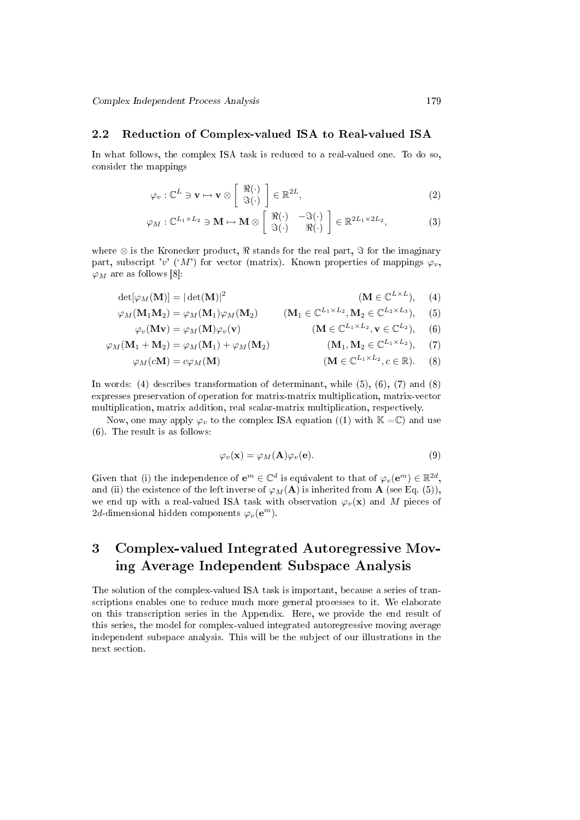#### 2.2 Reduction of Complex-valued ISA to Real-valued ISA

In what follows, the complex ISA task is reduced to a real-valued one. To do so, consider the mappings

$$
\varphi_v : \mathbb{C}^L \ni \mathbf{v} \mapsto \mathbf{v} \otimes \left[ \begin{array}{c} \Re(\cdot) \\ \Im(\cdot) \end{array} \right] \in \mathbb{R}^{2L}, \tag{2}
$$

$$
\varphi_M : \mathbb{C}^{L_1 \times L_2} \ni \mathbf{M} \mapsto \mathbf{M} \otimes \left[ \begin{array}{cc} \Re(\cdot) & -\Im(\cdot) \\ \Im(\cdot) & \Re(\cdot) \end{array} \right] \in \mathbb{R}^{2L_1 \times 2L_2}, \tag{3}
$$

where ⊗ is the Kronecker product,  $\Re$  stands for the real part,  $\Im$  for the imaginary part, subscript '*v*' ('*M*') for vector (matrix). Known properties of mappings  $\varphi_n$ , *ϕ<sup>M</sup>* are as follows [8]:

$$
\det[\varphi_M(\mathbf{M})] = |\det(\mathbf{M})|^2 \tag{M \in \mathbb{C}^{L \times L}}, \tag{4}
$$

$$
\varphi_M(\mathbf{M}_1 \mathbf{M}_2) = \varphi_M(\mathbf{M}_1) \varphi_M(\mathbf{M}_2) \qquad (\mathbf{M}_1 \in \mathbb{C}^{L_1 \times L_2}, \mathbf{M}_2 \in \mathbb{C}^{L_2 \times L_3}), \quad (5)
$$

$$
\varphi_v(\mathbf{M} \mathbf{v}) = \varphi_M(\mathbf{M}) \varphi_v(\mathbf{v}) \qquad (\mathbf{M} \in \mathbb{C}^{L_1 \times L_2}, \mathbf{v} \in \mathbb{C}^{L_2}), \quad (6)
$$

$$
\varphi_M(\mathbf{M}_1 + \mathbf{M}_2) = \varphi_M(\mathbf{M}_1) + \varphi_M(\mathbf{M}_2) \tag{M}_1, \mathbf{M}_2 \in \mathbb{C}^{L_1 \times L_2}, \tag{7}
$$

$$
\varphi_M(c\mathbf{M}) = c\varphi_M(\mathbf{M}) \qquad (\mathbf{M} \in \mathbb{C}^{L_1 \times L_2}, c \in \mathbb{R}). \qquad (8)
$$

In words: (4) describes transformation of determinant, while (5), (6), (7) and (8) expresses preservation of operation for matrix-matrix multiplication, matrix-vector multiplication, matrix addition, real scalar-matrix multiplication, respectively.

Now, one may apply  $\varphi_v$  to the complex ISA equation ((1) with  $\mathbb{K} = \mathbb{C}$ ) and use (6). The result is as follows:

$$
\varphi_v(\mathbf{x}) = \varphi_M(\mathbf{A})\varphi_v(\mathbf{e}).\tag{9}
$$

Given that (i) the independence of  $e^m \in \mathbb{C}^d$  is equivalent to that of  $\varphi_v(e^m) \in \mathbb{R}^{2d}$ , and (ii) the existence of the left inverse of  $\varphi_M(A)$  is inherited from **A** (see Eq. (5)), we end up with a real-valued ISA task with observation  $\varphi_v(\mathbf{x})$  and M pieces of 2*d*-dimensional hidden components  $\varphi_v(\mathbf{e}^m)$ .

# 3 Complex-valued Integrated Autoregressive Moving Average Independent Subspace Analysis

The solution of the complex-valued ISA task is important, because a series of transcriptions enables one to reduce much more general processes to it. We elaborate on this transcription series in the Appendix. Here, we provide the end result of this series, the model for complex-valued integrated autoregressive moving average independent subspace analysis. This will be the subject of our illustrations in the next section.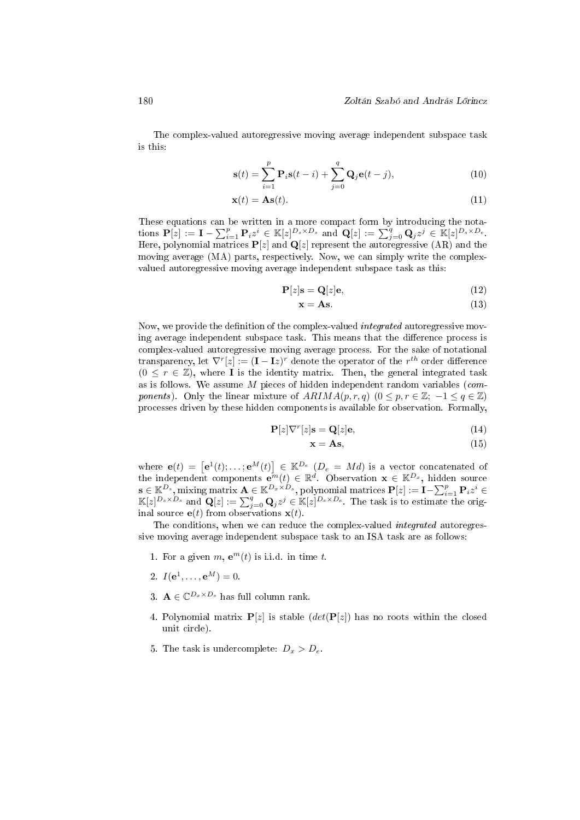The complex-valued autoregressive moving average independent subspace task is this:

$$
\mathbf{s}(t) = \sum_{i=1}^{p} \mathbf{P}_i \mathbf{s}(t-i) + \sum_{j=0}^{q} \mathbf{Q}_j \mathbf{e}(t-j),
$$
\n(10)

$$
\mathbf{x}(t) = \mathbf{A}\mathbf{s}(t). \tag{11}
$$

These equations can be written in a more compact form by introducing the notations  $\mathbf{P}[z] := \mathbf{I} - \sum_{i=1}^p \mathbf{P}_i z^i \in \mathbb{K}[z]^{D_s \times D_s}$  and  $\mathbf{Q}[z] := \sum_{j=0}^q \mathbf{Q}_j z^j \in \mathbb{K}[z]^{D_s \times D_e}$ . Here, polynomial matrices **P**[*z*] and **Q**[*z*] represent the autoregressive (AR) and the moving average (MA) parts, respectively. Now, we can simply write the complexvalued autoregressive moving average independent subspace task as this:

$$
\mathbf{P}[z]\mathbf{s} = \mathbf{Q}[z]\mathbf{e},\tag{12}
$$

$$
\mathbf{x} = \mathbf{A}\mathbf{s}.\tag{13}
$$

Now, we provide the definition of the complex-valued *integrated* autoregressive moving average independent subspace task. This means that the difference process is complex-valued autoregressive moving average process. For the sake of notational transparency, let  $\nabla^r[z] := (\mathbf{I} - \mathbf{I}z)^r$  denote the operator of the  $r^{th}$  order difference  $(0 \leq r \in \mathbb{Z})$ , where **I** is the identity matrix. Then, the general integrated task as is follows. We assume *M* pieces of hidden independent random variables (com*ponents*). Only the linear mixture of  $ARIMA(p, r, q)$  ( $0 \leq p, r \in \mathbb{Z}; -1 \leq q \in \mathbb{Z}$ ) processes driven by these hidden components is available for observation. Formally,

$$
\mathbf{P}[z]\nabla^r[z]\mathbf{s} = \mathbf{Q}[z]\mathbf{e},\tag{14}
$$

$$
\mathbf{x} = \mathbf{A}\mathbf{s},\tag{15}
$$

where  $e(t) = \left[e^1(t); \ldots; e^M(t)\right] \in \mathbb{K}^{D_e}$  ( $D_e = Md$ ) is a vector concatenated of the independent components  $e^{in}(t) \in \mathbb{R}^d$ . Observation  $\mathbf{x} \in \mathbb{K}^{D_x}$ , hidden source  $\mathbf{s} \in \mathbb{K}^{D_s},$  mixing matrix  $\mathbf{A} \in \mathbb{K}^{D_x \times D_s},$  polynomial matrices  $\mathbf{P}[z] := \mathbf{I} - \sum_{i=1}^p \mathbf{P}_i z^i \in$  $\mathbb{K}[z]^{D_s \times D_s}$  and  $\mathbf{Q}[z] := \sum_{j=0}^q \mathbf{Q}_j z^j \in \mathbb{K}[z]^{D_s \times D_e}$ . The task is to estimate the original source  $e(t)$  from observations  $\mathbf{x}(t)$ .

The conditions, when we can reduce the complex-valued integrated autoregressive moving average independent subspace task to an ISA task are as follows:

- 1. For a given  $m$ ,  $e^m(t)$  is i.i.d. in time  $t$ .
- 2.  $I(e^1, \ldots, e^M) = 0.$
- 3.  $\mathbf{A} \in \mathbb{C}^{D_x \times D_s}$  has full column rank.
- 4. Polynomial matrix  $P[z]$  is stable  $(det(P[z])$  has no roots within the closed unit circle).
- 5. The task is undercomplete:  $D_x > D_e$ .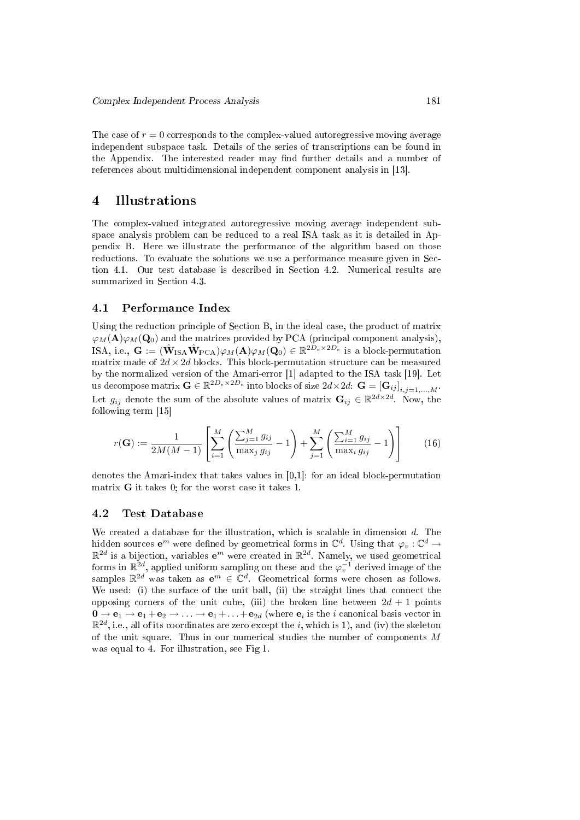The case of  $r = 0$  corresponds to the complex-valued autoregressive moving average independent subspace task. Details of the series of transcriptions can be found in the Appendix. The interested reader may find further details and a number of references about multidimensional independent component analysis in [13].

## 4 Illustrations

The complex-valued integrated autoregressive moving average independent subspace analysis problem can be reduced to a real ISA task as it is detailed in Appendix B. Here we illustrate the performance of the algorithm based on those reductions. To evaluate the solutions we use a performance measure given in Section 4.1. Our test database is described in Section 4.2. Numerical results are summarized in Section 4.3.

#### 4.1 Performance Index

Using the reduction principle of Section B, in the ideal case, the product of matrix  $\varphi_M(\mathbf{A})\varphi_M(\mathbf{Q}_0)$  and the matrices provided by PCA (principal component analysis), ISA, i.e.,  $\mathbf{G} := (\hat{\mathbf{W}}_{\text{ISA}} \hat{\mathbf{W}}_{\text{PCA}}) \varphi_M(\mathbf{A}) \varphi_M(\mathbf{Q}_0) \in \mathbb{R}^{2D_e \times 2D_e}$  is a block-permutation matrix made of  $2d \times 2d$  blocks. This block-permutation structure can be measured by the normalized version of the Amari-error [1] adapted to the ISA task [19]. Let us decompose matrix  $\mathbf{G} \in \mathbb{R}^{2D_e \times 2D_e}$  into blocks of size  $2d \times 2d$ :  $\mathbf{G} = [\mathbf{G}_{ij}]_{i,j=1,...,M}$ . Let  $g_{ij}$  denote the sum of the absolute values of matrix  $\mathbf{G}_{ij} \in \mathbb{R}^{2d \times 2d}$ . Now, the following term [15]

$$
r(\mathbf{G}) := \frac{1}{2M(M-1)} \left[ \sum_{i=1}^{M} \left( \frac{\sum_{j=1}^{M} g_{ij}}{\max_j g_{ij}} - 1 \right) + \sum_{j=1}^{M} \left( \frac{\sum_{i=1}^{M} g_{ij}}{\max_i g_{ij}} - 1 \right) \right]
$$
(16)

denotes the Amari-index that takes values in [0,1]: for an ideal block-permutation matrix **G** it takes 0; for the worst case it takes 1.

#### 4.2 Test Database

We created a database for the illustration, which is scalable in dimension *d*. The hidden sources  $e^m$  were defined by geometrical forms in  $\mathbb{C}^d$ . Using that  $\varphi_v : \mathbb{C}^d \to$  $\mathbb{R}^{2d}$  is a bijection, variables  $\mathbf{e}^m$  were created in  $\mathbb{R}^{2d}$ . Namely, we used geometrical forms in  $\mathbb{R}^{2d}$ , applied uniform sampling on these and the  $\varphi_v^{-1}$  derived image of the samples  $\mathbb{R}^{2d}$  was taken as  $e^m \in \mathbb{C}^d$ . Geometrical forms were chosen as follows. We used: (i) the surface of the unit ball, (ii) the straight lines that connect the opposing corners of the unit cube, (iii) the broken line between  $2d + 1$  points  $\mathbf{0} \to \mathbf{e}_1 \to \mathbf{e}_1 + \mathbf{e}_2 \to \ldots \to \mathbf{e}_1 + \ldots + \mathbf{e}_{2d}$  (where  $\mathbf{e}_i$  is the  $i$  canonical basis vector in  $\mathbb{R}^{2d},$  i.e., all of its coordinates are zero except the  $i,$  which is 1), and (iv) the skeleton of the unit square. Thus in our numerical studies the number of components *M* was equal to 4. For illustration, see Fig 1.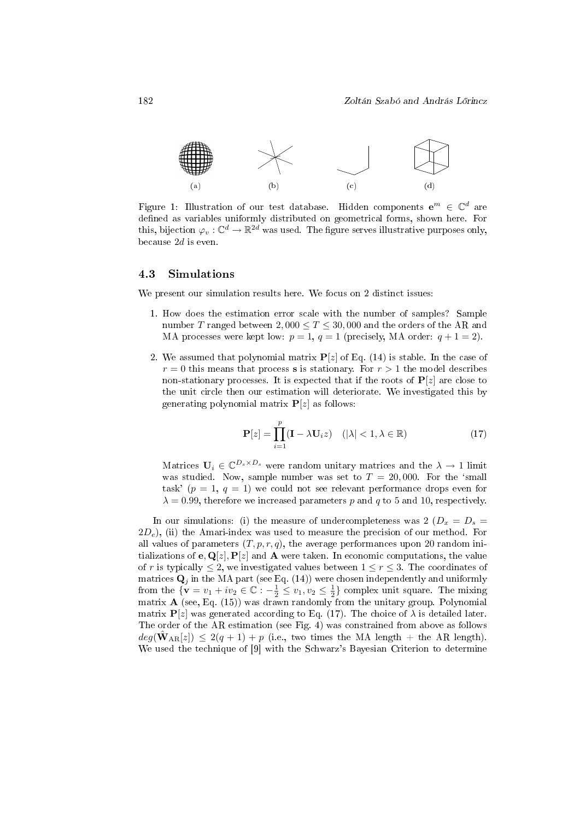

Figure 1: Illustration of our test database. Hidden components  $e^m \in \mathbb{C}^d$  are defined as variables uniformly distributed on geometrical forms, shown here. For this, bijection  $\varphi_v : \mathbb{C}^d \to \mathbb{R}^{2d}$  was used. The figure serves illustrative purposes only, because 2*d* is even.

#### 4.3 Simulations

We present our simulation results here. We focus on 2 distinct issues:

- 1. How does the estimation error scale with the number of samples? Sample number *T* ranged between  $2,000 \le T \le 30,000$  and the orders of the AR and MA processes were kept low:  $p = 1$ ,  $q = 1$  (precisely, MA order:  $q + 1 = 2$ ).
- 2. We assumed that polynomial matrix  $P[z]$  of Eq. (14) is stable. In the case of  $r = 0$  this means that process **s** is stationary. For  $r > 1$  the model describes non-stationary processes. It is expected that if the roots of  $P[z]$  are close to the unit circle then our estimation will deteriorate. We investigated this by generating polynomial matrix  $P[z]$  as follows:

$$
\mathbf{P}[z] = \prod_{i=1}^{p} (\mathbf{I} - \lambda \mathbf{U}_i z) \quad (|\lambda| < 1, \lambda \in \mathbb{R}) \tag{17}
$$

Matrices  $\mathbf{U}_i \in \mathbb{C}^{D_s \times D_s}$  were random unitary matrices and the  $\lambda \to 1$  limit was studied. Now, sample number was set to  $T = 20,000$ . For the 'small task'  $(p = 1, q = 1)$  we could not see relevant performance drops even for  $\lambda = 0.99$ , therefore we increased parameters p and q to 5 and 10, respectively.

In our simulations: (i) the measure of undercompleteness was  $2 (D_x = D_s =$  $2D_e$ , (ii) the Amari-index was used to measure the precision of our method. For all values of parameters  $(T, p, r, q)$ , the average performances upon 20 random initializations of  $e$ ,  $\mathbf{Q}[z]$ ,  $\mathbf{P}[z]$  and  $\mathbf{A}$  were taken. In economic computations, the value of *r* is typically  $\leq$  2, we investigated values between  $1 \leq r \leq 3$ . The coordinates of matrices  $\mathbf{Q}_j$  in the MA part (see Eq. (14)) were chosen independently and uniformly from the  ${\mathbf{v} = v_1 + iv_2 \in \mathbb{C} : -\frac{1}{2} \le v_1, v_2 \le \frac{1}{2}}$  complex unit square. The mixing matrix  $\bf{A}$  (see, Eq. (15)) was drawn randomly from the unitary group. Polynomial matrix  $P[z]$  was generated according to Eq. (17). The choice of  $\lambda$  is detailed later. The order of the AR estimation (see Fig. 4) was constrained from above as follows  $deg(\hat{W}_{AR}[z]) \leq 2(q+1) + p$  (i.e., two times the MA length + the AR length). We used the technique of [9] with the Schwarz's Bayesian Criterion to determine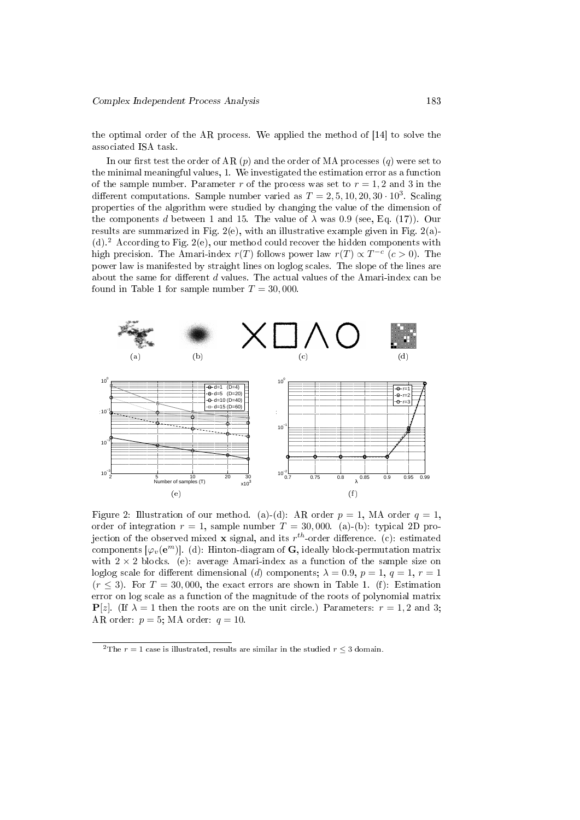the optimal order of the AR process. We applied the method of [14] to solve the associated ISA task.

In our first test the order of AR  $(p)$  and the order of MA processes  $(q)$  were set to the minimal meaningful values, 1. We investigated the estimation error as a function of the sample number. Parameter  $r$  of the process was set to  $r = 1, 2$  and 3 in the different computations. Sample number varied as  $T = 2, 5, 10, 20, 30 \cdot 10^3$ . Scaling properties of the algorithm were studied by changing the value of the dimension of the components *d* between 1 and 15. The value of  $\lambda$  was 0.9 (see, Eq. (17)). Our results are summarized in Fig. 2(e), with an illustrative example given in Fig. 2(a)-(d).<sup>2</sup> According to Fig. 2(e), our method could recover the hidden components with high precision. The Amari-index  $r(T)$  follows power law  $r(T) \propto T^{-c}$  ( $c > 0$ ). The power law is manifested by straight lines on loglog scales. The slope of the lines are about the same for different  $d$  values. The actual values of the Amari-index can be found in Table 1 for sample number  $T = 30,000$ 



Figure 2: Illustration of our method. (a)-(d): AR order  $p = 1$ , MA order  $q = 1$ , order of integration  $r = 1$ , sample number  $T = 30,000$ . (a)-(b): typical 2D projection of the observed mixed **x** signal, and its  $r^{th}$ -order difference. (c): estimated  $\mathsf{components}\left[\varphi_{v}(\mathbf{e}^{m})\right]$ . (d): Hinton-diagram of  $\mathbf{G},$  ideally block-permutation matrix with  $2 \times 2$  blocks. (e): average Amari-index as a function of the sample size on loglog scale for different dimensional (*d*) components;  $\lambda = 0.9$ ,  $p = 1$ ,  $q = 1$ ,  $r = 1$  $(r \leq 3)$ . For  $T = 30,000$ , the exact errors are shown in Table 1. (f): Estimation error on log scale as a function of the magnitude of the roots of polynomial matrix **P**[*z*]. (If  $\lambda = 1$  then the roots are on the unit circle.) Parameters:  $r = 1, 2$  and 3; AR order:  $p = 5$ ; MA order:  $q = 10$ .

<sup>&</sup>lt;sup>2</sup>The  $r = 1$  case is illustrated, results are similar in the studied  $r \leq 3$  domain.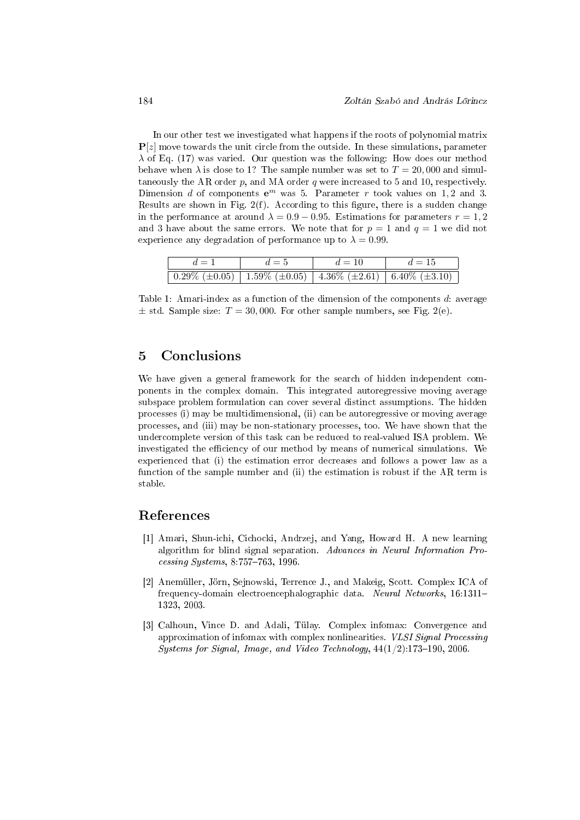In our other test we investigated what happens if the roots of polynomial matrix **P**[*z*] move towards the unit circle from the outside. In these simulations, parameter *λ* of Eq. (17) was varied. Our question was the following: How does our method behave when  $\lambda$  is close to 1? The sample number was set to  $T = 20,000$  and simultaneously the AR order  $p$ , and MA order  $q$  were increased to 5 and 10, respectively. Dimension *d* of components  $e^m$  was 5. Parameter *r* took values on 1,2 and 3. Results are shown in Fig.  $2(f)$ . According to this figure, there is a sudden change in the performance at around  $\lambda = 0.9 - 0.95$ . Estimations for parameters  $r = 1, 2$ and 3 have about the same errors. We note that for  $p = 1$  and  $q = 1$  we did not experience any degradation of performance up to  $\lambda = 0.99$ .

| $d=1$                                                                                            | $d=5$ | $d=10$ | $d=15$ |
|--------------------------------------------------------------------------------------------------|-------|--------|--------|
| $\boxed{0.29\% (\pm 0.05) \mid 1.59\% (\pm 0.05) \mid 4.36\% (\pm 2.61) \mid 6.40\% (\pm 3.10)}$ |       |        |        |

Table 1: Amari-index as a function of the dimension of the components *d*: average  $\pm$  std. Sample size:  $T = 30,000$ . For other sample numbers, see Fig. 2(e).

## 5 Conclusions

We have given a general framework for the search of hidden independent components in the complex domain. This integrated autoregressive moving average subspace problem formulation can cover several distinct assumptions. The hidden processes (i) may be multidimensional, (ii) can be autoregressive or moving average processes, and (iii) may be non-stationary processes, too. We have shown that the undercomplete version of this task can be reduced to real-valued ISA problem. We investigated the efficiency of our method by means of numerical simulations. We experienced that (i) the estimation error decreases and follows a power law as a function of the sample number and (ii) the estimation is robust if the AR term is stable.

### References

- [1] Amari, Shun-ichi, Cichocki, Andrzej, and Yang, Howard H. A new learning algorithm for blind signal separation. Advances in Neural Information Pro $cessing\ Systems, 8:757-763, 1996.$
- [2] Anemüller, Jörn, Sejnowski, Terrence J., and Makeig, Scott. Complex ICA of frequency-domain electroencephalographic data. Neural Networks, 16:1311 1323, 2003.
- [3] Calhoun, Vince D. and Adali, Tülay. Complex infomax: Convergence and approximation of infomax with complex nonlinearities. VLSI Signal Processing Systems for Signal, Image, and Video Technology,  $44(1/2):173-190$ , 2006.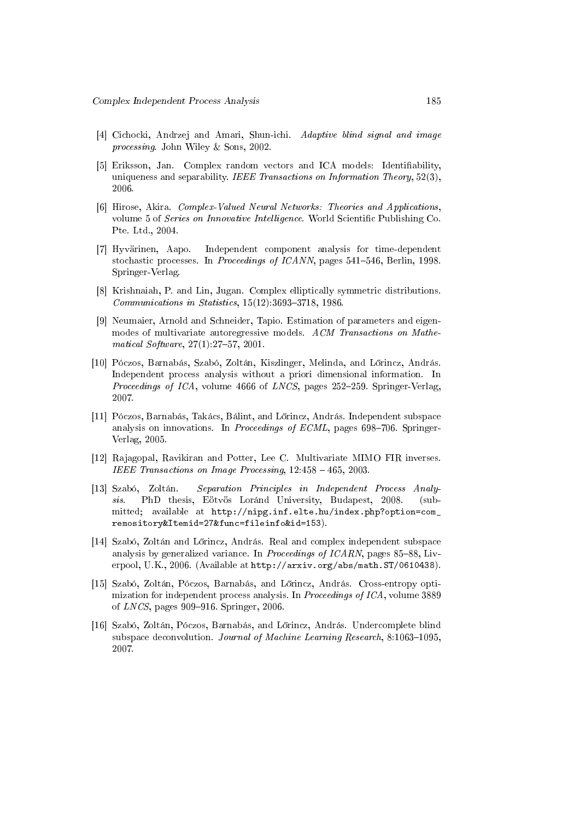- [4] Cichocki, Andrzej and Amari, Shun-ichi. Adaptive blind signal and image processing. John Wiley & Sons, 2002.
- [5] Eriksson, Jan. Complex random vectors and ICA models: Identifiability, uniqueness and separability. IEEE Transactions on Information Theory,  $52(3)$ , 2006.
- [6] Hirose, Akira. Complex-Valued Neural Networks: Theories and Applications, volume 5 of Series on Innovative Intelligence. World Scientific Publishing Co. Pte. Ltd., 2004.
- [7] Hyvärinen, Aapo. Independent component analysis for time-dependent stochastic processes. In Proceedings of ICANN, pages 541-546, Berlin, 1998. Springer-Verlag.
- [8] Krishnaiah, P. and Lin, Jugan. Complex elliptically symmetric distributions.  $Communications in Statistics, 15(12):3693-3718, 1986.$
- [9] Neumaier, Arnold and Schneider, Tapio. Estimation of parameters and eigenmodes of multivariate autoregressive models. ACM Transactions on Mathematical Software,  $27(1):27-57$ ,  $2001$ .
- [10] Póczos, Barnabás, Szabó, Zoltán, Kiszlinger, Melinda, and L®rincz, András. Independent process analysis without a priori dimensional information. In *Proceedings of ICA*, volume 4666 of *LNCS*, pages  $252-259$ . Springer-Verlag, 2007.
- [11] Póczos, Barnabás, Takács, Bálint, and Lőrincz, András. Independent subspace analysis on innovations. In *Proceedings of ECML*, pages  $698-706$ . Springer-Verlag, 2005.
- [12] Rajagopal, Ravikiran and Potter, Lee C. Multivariate MIMO FIR inverses. IEEE Transactions on Image Processing, 12:458 - 465, 2003.
- [13] Szabó, Zoltán. Separation Principles in Independent Process Analysis. PhD thesis, Eötvös Loránd University, Budapest, 2008. (submitted; available at http://nipg.inf.elte.hu/index.php?option=com\_ remository&Itemid=27&func=fileinfo&id=153).
- [14] Szabó, Zoltán and L®rincz, András. Real and complex independent subspace analysis by generalized variance. In *Proceedings of ICARN*, pages  $85-88$ , Liverpool, U.K., 2006. (Available at http://arxiv.org/abs/math.ST/0610438).
- [15] Szabó, Zoltán, Póczos, Barnabás, and L®rincz, András. Cross-entropy optimization for independent process analysis. In Proceedings of ICA, volume 3889 of  $LNCS$ , pages 909–916. Springer, 2006.
- [16] Szabó, Zoltán, Póczos, Barnabás, and L®rincz, András. Undercomplete blind subspace deconvolution. Journal of Machine Learning Research, 8:1063-1095, 2007.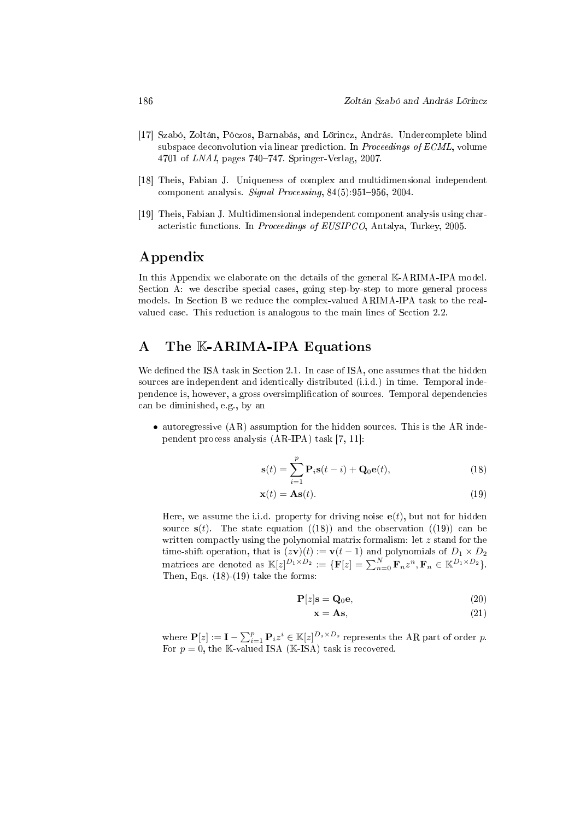- [17] Szabó, Zoltán, Póczos, Barnabás, and L®rincz, András. Undercomplete blind subspace deconvolution via linear prediction. In Proceedings of ECML, volume 4701 of *LNAI*, pages  $740-747$ . Springer-Verlag, 2007.
- [18] Theis, Fabian J. Uniqueness of complex and multidimensional independent component analysis. Signal Processing,  $84(5):951-956$ , 2004.
- [19] Theis, Fabian J. Multidimensional independent component analysis using characteristic functions. In Proceedings of EUSIPCO, Antalya, Turkey, 2005.

## Appendix

In this Appendix we elaborate on the details of the general K-ARIMA-IPA model. Section A: we describe special cases, going step-by-step to more general process models. In Section B we reduce the complex-valued ARIMA-IPA task to the realvalued case. This reduction is analogous to the main lines of Section 2.2.

## A The K-ARIMA-IPA Equations

We defined the ISA task in Section 2.1. In case of ISA, one assumes that the hidden sources are independent and identically distributed (i.i.d.) in time. Temporal independence is, however, a gross oversimplication of sources. Temporal dependencies can be diminished, e.g., by an

• autoregressive (AR) assumption for the hidden sources. This is the AR independent process analysis (AR-IPA) task [7, 11]:

$$
\mathbf{s}(t) = \sum_{i=1}^{p} \mathbf{P}_i \mathbf{s}(t-i) + \mathbf{Q}_0 \mathbf{e}(t),
$$
 (18)

$$
\mathbf{x}(t) = \mathbf{A}\mathbf{s}(t). \tag{19}
$$

Here, we assume the i.i.d. property for driving noise  $e(t)$ , but not for hidden source  $s(t)$ . The state equation  $((18))$  and the observation  $((19))$  can be written compactly using the polynomial matrix formalism: let *z* stand for the time-shift operation, that is  $(z\mathbf{v})(t) := \mathbf{v}(t-1)$  and polynomials of  $D_1 \times D_2$ matrices are denoted as  $\mathbb{K}[z]^{D_1 \times D_2} := {\mathbf{F}[z] = \sum_{n=0}^{N} \mathbf{F}_n z^n, \mathbf{F}_n \in \mathbb{K}^{D_1 \times D_2}}.$ Then, Eqs.  $(18)-(19)$  take the forms:

$$
\mathbf{P}[z] \mathbf{s} = \mathbf{Q}_0 \mathbf{e},\tag{20}
$$

$$
\mathbf{x} = \mathbf{A}\mathbf{s},\tag{21}
$$

where  $\mathbf{P}[z] := \mathbf{I} - \sum_{i=1}^{p} \mathbf{P}_i z^i \in \mathbb{K}[z]^{D_s \times D_s}$  represents the AR part of order *p*. For  $p = 0$ , the K-valued ISA (K-ISA) task is recovered.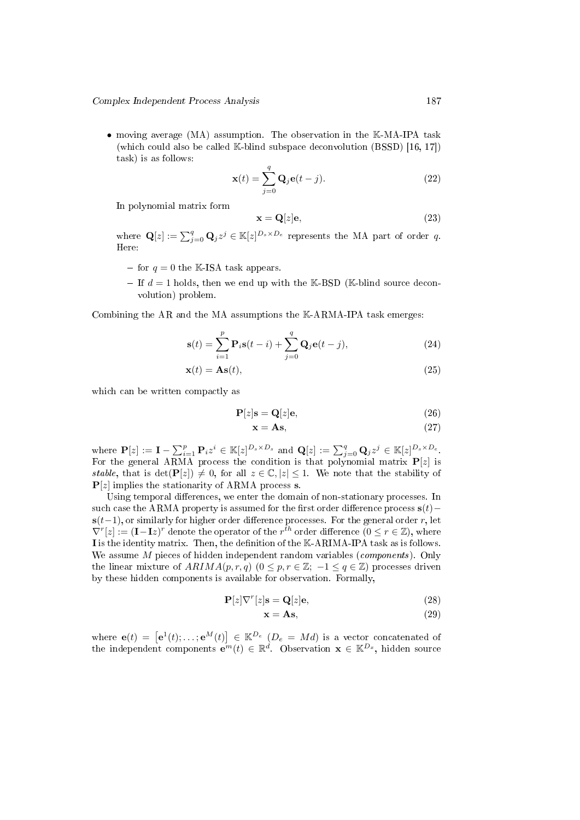• moving average (MA) assumption. The observation in the K-MA-IPA task (which could also be called K-blind subspace deconvolution (BSSD) [16, 17]) task) is as follows:

$$
\mathbf{x}(t) = \sum_{j=0}^{q} \mathbf{Q}_{j} \mathbf{e}(t-j).
$$
 (22)

In polynomial matrix form

$$
\mathbf{x} = \mathbf{Q}[z]\mathbf{e},\tag{23}
$$

where  $\mathbf{Q}[z] := \sum_{j=0}^{q} \mathbf{Q}_j z^j \in \mathbb{K}[z]^{D_s \times D_e}$  represents the MA part of order *q*. Here:

- $-$  for  $q = 0$  the K-ISA task appears.
- $-I$  If  $d=1$  holds, then we end up with the K-BSD (K-blind source deconvolution) problem.

Combining the AR and the MA assumptions the K-ARMA-IPA task emerges:

$$
\mathbf{s}(t) = \sum_{i=1}^{p} \mathbf{P}_i \mathbf{s}(t-i) + \sum_{j=0}^{q} \mathbf{Q}_j \mathbf{e}(t-j),
$$
 (24)

$$
\mathbf{x}(t) = \mathbf{A}\mathbf{s}(t),\tag{25}
$$

which can be written compactly as

$$
\mathbf{P}[z]\mathbf{s} = \mathbf{Q}[z]\mathbf{e},\tag{26}
$$

$$
x = As,\t(27)
$$

where  $\mathbf{P}[z] := \mathbf{I} - \sum_{i=1}^p \mathbf{P}_i z^i \in \mathbb{K}[z]^{D_s \times D_s}$  and  $\mathbf{Q}[z] := \sum_{j=0}^q \mathbf{Q}_j z^j \in \mathbb{K}[z]^{D_s \times D_e}$ . For the general ARMA process the condition is that polynomial matrix **P**[*z*] is stable, that is  $\det(\mathbf{P}[z]) \neq 0$ , for all  $z \in \mathbb{C}, |z| \leq 1$ . We note that the stability of **P**[*z*] implies the stationarity of ARMA process **s**.

Using temporal differences, we enter the domain of non-stationary processes. In such case the ARMA property is assumed for the first order difference process  $\mathbf{s}(t)$  −  $s(t-1)$ , or similarly for higher order difference processes. For the general order *r*, let  $\nabla^r[z] := (\mathbf{I} - \mathbf{I}z)^r$  denote the operator of the  $r^{th}$  order difference  $(0 \le r \in \mathbb{Z})$ , where I is the identity matrix. Then, the definition of the K-ARIMA-IPA task as is follows. We assume *M* pieces of hidden independent random variables (components). Only the linear mixture of  $ARIMA(p,r,q)$  ( $0 \leq p, r \in \mathbb{Z}; -1 \leq q \in \mathbb{Z}$ ) processes driven by these hidden components is available for observation. Formally,

$$
\mathbf{P}[z]\nabla^r[z]\mathbf{s} = \mathbf{Q}[z]\mathbf{e},\tag{28}
$$

$$
\mathbf{x} = \mathbf{A}\mathbf{s},\tag{29}
$$

where  $e(t) = \left[e^1(t); \ldots; e^M(t)\right] \in \mathbb{K}^{D_e}$  ( $D_e = Md$ ) is a vector concatenated of the independent components  $e^{in}(t) \in \mathbb{R}^d$ . Observation  $\mathbf{x} \in \mathbb{K}^{D_x}$ , hidden source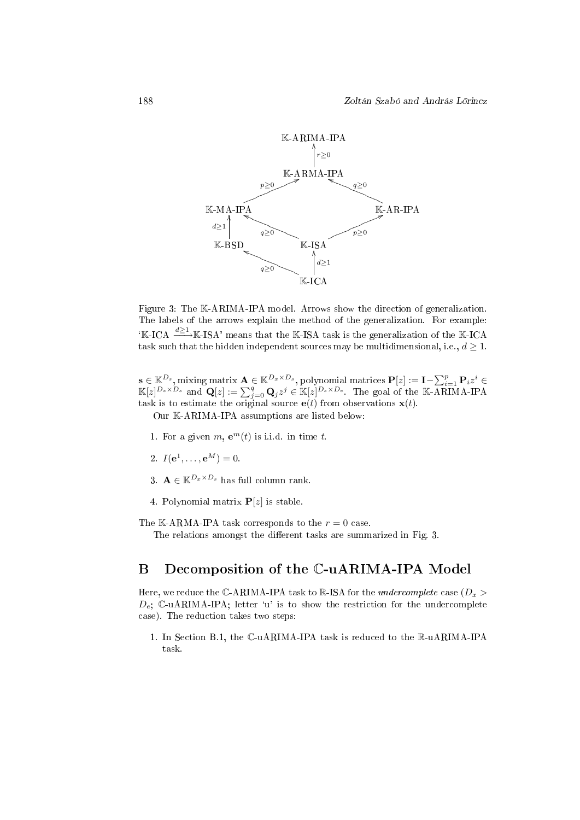

Figure 3: The K-ARIMA-IPA model. Arrows show the direction of generalization. The labels of the arrows explain the method of the generalization. For example: <sup>∗</sup>K-ICA <sup>d≥1</sup>→<sup>K</sup>-ISA' means that the K-ISA task is the generalization of the K-ICA task such that the hidden independent sources may be multidimensional, i.e.,  $d \geq 1$ .

 $\mathbf{s} \in \mathbb{K}^{D_s},$  mixing matrix  $\mathbf{A} \in \mathbb{K}^{D_x \times D_s},$  polynomial matrices  $\mathbf{P}[z] := \mathbf{I} - \sum_{i=1}^p \mathbf{P}_i z^i \in$  $\mathbb{K}[z]^{D_s \times D_s}$  and  $\mathbf{Q}[z] := \sum_{j=0}^q \mathbf{Q}_j z^j \in \mathbb{K}[z]^{D_s \times D_e}$ . The goal of the K-ARIMA-IPA task is to estimate the original source  $e(t)$  from observations  $\mathbf{x}(t)$ .

Our K-ARIMA-IPA assumptions are listed below:

- 1. For a given  $m$ ,  $e^m(t)$  is i.i.d. in time  $t$ .
- 2.  $I(e^1, \ldots, e^M) = 0.$
- 3.  $\mathbf{A} \in \mathbb{K}^{D_x \times D_s}$  has full column rank.
- 4. Polynomial matrix **P**[*z*] is stable.

The K-ARMA-IPA task corresponds to the  $r = 0$  case.

The relations amongst the different tasks are summarized in Fig. 3.

## B Decomposition of the C-uARIMA-IPA Model

Here, we reduce the  $\mathbb{C}\text{-ARIMA-IPA task to } \mathbb{R}\text{-ISA}$  for the *undercomplete* case ( $D_x$ )  $D_e$ ; C-uARIMA-IPA; letter 'u' is to show the restriction for the undercomplete case). The reduction takes two steps:

1. In Section B.1, the C-uARIMA-IPA task is reduced to the R-uARIMA-IPA task.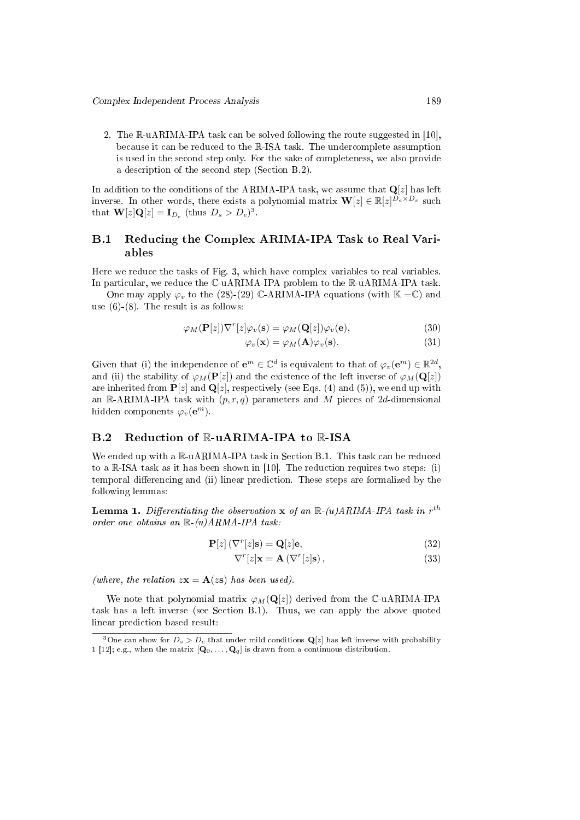2. The R-uARIMA-IPA task can be solved following the route suggested in [10], because it can be reduced to the R-ISA task. The undercomplete assumption is used in the second step only. For the sake of completeness, we also provide a description of the second step (Section B.2).

In addition to the conditions of the ARIMA-IPA task, we assume that  $\mathbf{Q}[z]$  has left inverse. In other words, there exists a polynomial matrix  $\mathbf{W}[z] \in \mathbb{R}[z]^{D_e \times D_s}$  such that  $\mathbf{W}[z]\mathbf{Q}[z] = \mathbf{I}_{D_e}$  (thus  $D_s > D_e$ )<sup>3</sup>.

## B.1 Reducing the Complex ARIMA-IPA Task to Real Variables

Here we reduce the tasks of Fig. 3, which have complex variables to real variables. In particular, we reduce the C-uARIMA-IPA problem to the R-uARIMA-IPA task.

One may apply  $\varphi$ <sup>*v*</sup> to the (28)-(29) C-ARIMA-IPA equations (with  $\mathbb{K} = \mathbb{C}$ ) and use  $(6)-(8)$ . The result is as follows:

$$
\varphi_M(\mathbf{P}[z])\nabla^r[z]\varphi_v(\mathbf{s}) = \varphi_M(\mathbf{Q}[z])\varphi_v(\mathbf{e}),\tag{30}
$$

$$
\varphi_v(\mathbf{x}) = \varphi_M(\mathbf{A})\varphi_v(\mathbf{s}).\tag{31}
$$

Given that (i) the independence of  $e^m \in \mathbb{C}^d$  is equivalent to that of  $\varphi_v(e^m) \in \mathbb{R}^{2d}$ , and (ii) the stability of  $\varphi_M(\mathbf{P}[z])$  and the existence of the left inverse of  $\varphi_M(\mathbf{Q}[z])$ are inherited from  $P[z]$  and  $Q[z]$ , respectively (see Eqs. (4) and (5)), we end up with an R-ARIMA-IPA task with  $(p, r, q)$  parameters and M pieces of 2d-dimensional hidden components  $\varphi_v(\mathbf{e}^m)$ .

### B.2 Reduction of R-uARIMA-IPA to R-ISA

We ended up with a  $\mathbb{R}$ -uARIMA-IPA task in Section B.1. This task can be reduced to a R-ISA task as it has been shown in [10]. The reduction requires two steps: (i) temporal differencing and (ii) linear prediction. These steps are formalized by the following lemmas:

**Lemma 1.** Differentiating the observation **x** of an  $\mathbb{R}\text{-}(u) A R I M A$ -IPA task in  $r^{th}$ order one obtains an  $\mathbb{R}-(u)ARMA-IPA$  task:

$$
\mathbf{P}[z] (\nabla^r [z] \mathbf{s}) = \mathbf{Q}[z] \mathbf{e},\tag{32}
$$

$$
\nabla^r[z] \mathbf{x} = \mathbf{A} (\nabla^r[z] \mathbf{s}), \qquad (33)
$$

(where, the relation  $z\mathbf{x} = \mathbf{A}(z\mathbf{s})$  has been used).

We note that polynomial matrix  $\varphi_M(\mathbf{Q}[z])$  derived from the C-uARIMA-IPA task has a left inverse (see Section B.1). Thus, we can apply the above quoted linear prediction based result:

 $\frac{3}{3}$ One can show for  $D_s > D_e$  that under mild conditions  $\mathbf{Q}[z]$  has left inverse with probability 1 [12]; e.g., when the matrix  $[\mathbf{Q}_0, \dots, \mathbf{Q}_q]$  is drawn from a continuous distribution.